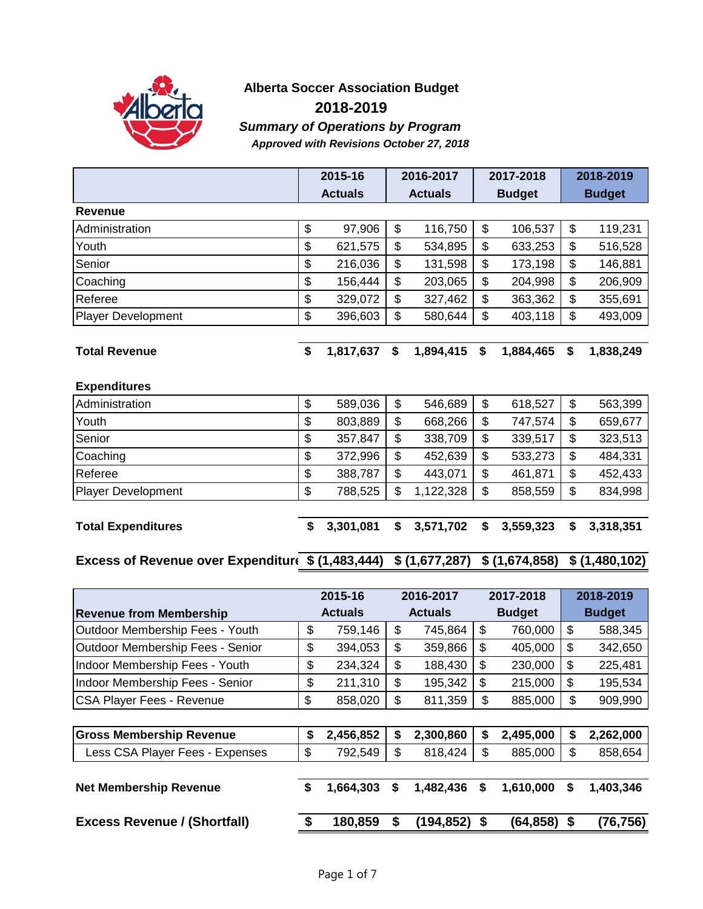

#### **Alberta Soccer Association Budget 2018-2019** *Summary of Operations by Program Approved with Revisions October 27, 2018*

|                                                 | 2015-16         | 2016-2017       | 2017-2018       |                           | 2018-2019     |
|-------------------------------------------------|-----------------|-----------------|-----------------|---------------------------|---------------|
|                                                 | <b>Actuals</b>  | <b>Actuals</b>  | <b>Budget</b>   |                           | <b>Budget</b> |
| <b>Revenue</b>                                  |                 |                 |                 |                           |               |
| Administration                                  | \$<br>97,906    | \$<br>116,750   | \$<br>106,537   | $\boldsymbol{\mathsf{S}}$ | 119,231       |
| Youth                                           | \$<br>621,575   | \$<br>534,895   | \$<br>633,253   | \$                        | 516,528       |
| Senior                                          | \$<br>216,036   | \$<br>131,598   | \$<br>173,198   | \$                        | 146,881       |
| Coaching                                        | \$<br>156,444   | \$<br>203,065   | \$<br>204,998   | \$                        | 206,909       |
| Referee                                         | \$<br>329,072   | \$<br>327,462   | \$<br>363,362   | \$                        | 355,691       |
| <b>Player Development</b>                       | \$<br>396,603   | \$<br>580,644   | \$<br>403,118   | \$                        | 493,009       |
|                                                 |                 |                 |                 |                           |               |
| <b>Total Revenue</b>                            | \$<br>1,817,637 | \$<br>1,894,415 | \$<br>1,884,465 | \$                        | 1,838,249     |
|                                                 |                 |                 |                 |                           |               |
| <b>Expenditures</b>                             |                 |                 |                 |                           |               |
| Administration                                  | \$<br>589,036   | \$<br>546,689   | \$<br>618,527   | \$                        | 563,399       |
| Youth                                           | \$<br>803,889   | \$<br>668,266   | \$<br>747,574   | \$                        | 659,677       |
| Senior                                          | \$<br>357,847   | \$<br>338,709   | \$<br>339,517   | \$                        | 323,513       |
| Coaching                                        | \$<br>372,996   | \$<br>452,639   | \$<br>533,273   | \$                        | 484,331       |
| Referee                                         | \$<br>388,787   | \$<br>443,071   | \$<br>461,871   | \$                        | 452,433       |
| <b>Player Development</b>                       | \$<br>788,525   | \$<br>1,122,328 | \$<br>858,559   | \$                        | 834,998       |
|                                                 |                 |                 |                 |                           |               |
| <b>Total Expenditures</b>                       | \$<br>3,301,081 | \$<br>3,571,702 | \$<br>3,559,323 | \$                        | 3,318,351     |
|                                                 |                 |                 |                 |                           |               |
| Excess of Revenue over Expenditur(\$(1,483,444) |                 | \$(1,677,287)   | \$(1,674,858)   |                           | \$(1,480,102) |
|                                                 |                 |                 |                 |                           |               |
|                                                 | 2015-16         | 2016-2017       | 2017-2018       |                           | 2018-2019     |
| <b>Revenue from Membership</b>                  | <b>Actuals</b>  | <b>Actuals</b>  | <b>Budget</b>   |                           | <b>Budget</b> |

| <b>Revenue from Membership</b>      |    | <b>Actuals</b> |    | <b>Actuals</b> |    | <b>Budget</b> | <b>Budget</b>   |
|-------------------------------------|----|----------------|----|----------------|----|---------------|-----------------|
| Outdoor Membership Fees - Youth     | \$ | 759,146        | \$ | 745,864        | \$ | 760,000       | \$<br>588,345   |
| Outdoor Membership Fees - Senior    | \$ | 394,053        | \$ | 359,866        | \$ | 405,000       | \$<br>342,650   |
| Indoor Membership Fees - Youth      | \$ | 234,324        | \$ | 188,430        | \$ | 230,000       | \$<br>225,481   |
| Indoor Membership Fees - Senior     | \$ | 211,310        | \$ | 195,342        | \$ | 215,000       | \$<br>195,534   |
| <b>CSA Player Fees - Revenue</b>    | \$ | 858,020        | \$ | 811,359        | \$ | 885,000       | \$<br>909,990   |
|                                     |    |                |    |                |    |               |                 |
| <b>Gross Membership Revenue</b>     | \$ | 2,456,852      | \$ | 2,300,860      | S  | 2,495,000     | \$<br>2,262,000 |
| Less CSA Player Fees - Expenses     | \$ | 792,549        | \$ | 818,424        | \$ | 885,000       | \$<br>858,654   |
|                                     |    |                |    |                |    |               |                 |
| <b>Net Membership Revenue</b>       | \$ | 1,664,303      | \$ | 1,482,436      | S  | 1,610,000     | \$<br>1,403,346 |
|                                     |    |                |    |                |    |               |                 |
| <b>Excess Revenue / (Shortfall)</b> | S  | 180,859        | S  | (194,852)      |    | (64,858)      | (76,756)        |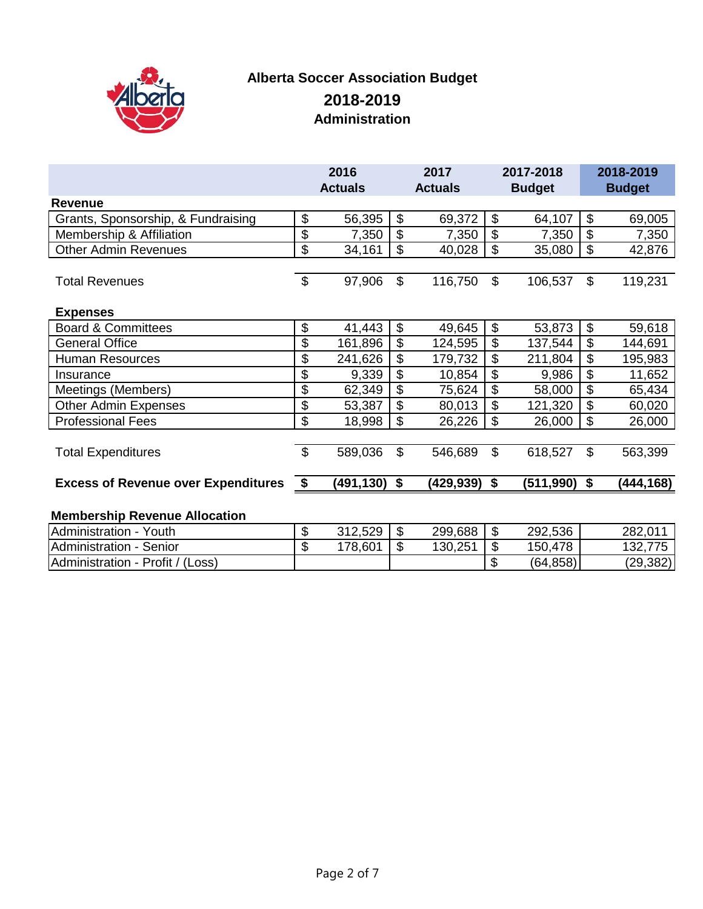

# **Alberta Soccer Association Budget Administration 2018-2019**

|                                            |                       | 2016<br><b>Actuals</b> |                           | 2017<br><b>Actuals</b> |                     | 2017-2018<br><b>Budget</b> |                           | 2018-2019<br><b>Budget</b> |
|--------------------------------------------|-----------------------|------------------------|---------------------------|------------------------|---------------------|----------------------------|---------------------------|----------------------------|
| Revenue                                    |                       |                        |                           |                        |                     |                            |                           |                            |
| Grants, Sponsorship, & Fundraising         | \$                    | 56,395                 | $\boldsymbol{\mathsf{S}}$ | 69,372                 | \$                  | 64,107                     | $\boldsymbol{\mathsf{S}}$ | 69,005                     |
| Membership & Affiliation                   | \$                    | 7,350                  | $\boldsymbol{\mathsf{S}}$ | 7,350                  | \$                  | 7,350                      | $\boldsymbol{\mathsf{S}}$ | 7,350                      |
| <b>Other Admin Revenues</b>                | \$                    | 34,161                 | \$                        | 40,028                 | \$                  | 35,080                     | \$                        | 42,876                     |
| <b>Total Revenues</b>                      | $\boldsymbol{\theta}$ | 97,906                 | $\mathcal{S}$             | 116,750                | \$                  | 106,537                    | $\boldsymbol{\mathsf{S}}$ | 119,231                    |
| <b>Expenses</b>                            |                       |                        |                           |                        |                     |                            |                           |                            |
| <b>Board &amp; Committees</b>              | \$                    | 41,443                 | $\boldsymbol{\mathsf{S}}$ | 49,645                 | \$                  | 53,873                     | $\boldsymbol{\mathsf{S}}$ | 59,618                     |
| <b>General Office</b>                      | \$                    | 161,896                | \$                        | 124,595                | \$                  | 137,544                    | \$                        | 144,691                    |
| <b>Human Resources</b>                     | \$                    | 241,626                | \$                        | 179,732                | $\mathfrak{L}$      | 211,804                    | \$                        | 195,983                    |
| Insurance                                  | \$                    | 9,339                  | \$                        | 10,854                 | \$                  | 9,986                      | $\boldsymbol{\theta}$     | 11,652                     |
| Meetings (Members)                         | \$                    | 62,349                 | \$                        | 75,624                 | \$                  | 58,000                     | $\boldsymbol{\mathsf{S}}$ | 65,434                     |
| <b>Other Admin Expenses</b>                | \$                    | 53,387                 | \$                        | 80,013                 | $\mathfrak{L}$      | 121,320                    | $\boldsymbol{\mathsf{S}}$ | 60,020                     |
| <b>Professional Fees</b>                   | \$                    | 18,998                 | $\mathcal{L}$             | 26,226                 | \$                  | 26,000                     | $\boldsymbol{\mathsf{S}}$ | 26,000                     |
| <b>Total Expenditures</b>                  | \$                    | 589,036                | $\mathfrak{S}$            | 546,689                | \$                  | 618,527                    | $\mathfrak{L}$            | 563,399                    |
| <b>Excess of Revenue over Expenditures</b> | \$                    | (491,130)              | \$                        | (429,939)              | \$                  | (511,990)                  | \$                        | (444, 168)                 |
| <b>Membership Revenue Allocation</b>       |                       |                        |                           |                        |                     |                            |                           |                            |
| Administration - Youth                     | ፍ                     | 312529                 | $\hat{\mathcal{L}}$       | 299668                 | $\hat{\mathcal{L}}$ | 292536                     |                           | 282 011                    |

| Youth<br><b>IAdministration -</b>           | 312,529 | - J.D                | 299,688 | ۰D  | 292,536      | 282,011     |
|---------------------------------------------|---------|----------------------|---------|-----|--------------|-------------|
| Senior<br><b>Administration -</b>           | 178,601 | $\triangle$<br>- J.D | 130,251 | ۰D  | .478<br>150, | 775<br>132. |
| Profit / (Loss)<br><b>IAdministration -</b> |         |                      |         | -11 | (64, 858)    | (29, 382)   |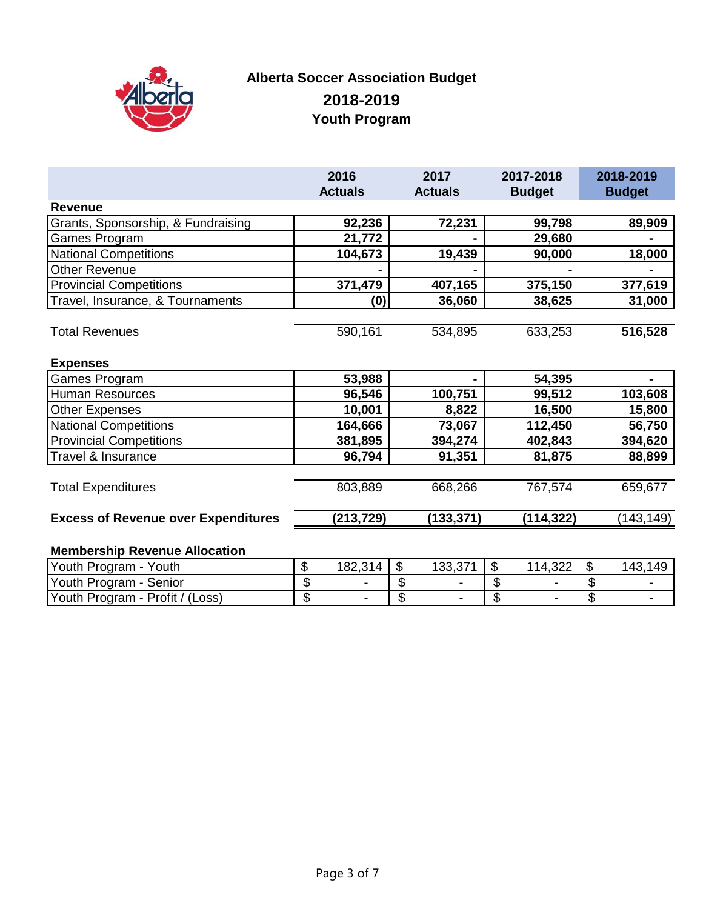

## **Alberta Soccer Association Budget 2018-2019 Youth Program**

|                                            | 2016           | 2017           | 2017-2018     | 2018-2019     |
|--------------------------------------------|----------------|----------------|---------------|---------------|
|                                            | <b>Actuals</b> | <b>Actuals</b> | <b>Budget</b> | <b>Budget</b> |
| <b>Revenue</b>                             |                |                |               |               |
| Grants, Sponsorship, & Fundraising         | 92,236         | 72,231         | 99,798        | 89,909        |
| Games Program                              | 21,772         |                | 29,680        |               |
| <b>National Competitions</b>               | 104,673        | 19,439         | 90,000        | 18,000        |
| <b>Other Revenue</b>                       |                |                |               |               |
| <b>Provincial Competitions</b>             | 371,479        | 407,165        | 375,150       | 377,619       |
| Travel, Insurance, & Tournaments           | (0)            | 36,060         | 38,625        | 31,000        |
|                                            |                |                |               |               |
| <b>Total Revenues</b>                      | 590,161        | 534,895        | 633,253       | 516,528       |
|                                            |                |                |               |               |
| <b>Expenses</b>                            |                |                |               |               |
| Games Program                              | 53,988         |                | 54,395        |               |
| Human Resources                            | 96,546         | 100,751        | 99,512        | 103,608       |
| <b>Other Expenses</b>                      | 10,001         | 8,822          | 16,500        | 15,800        |
| <b>National Competitions</b>               | 164,666        | 73,067         | 112,450       | 56,750        |
| <b>Provincial Competitions</b>             | 381,895        | 394,274        | 402,843       | 394,620       |
| Travel & Insurance                         | 96,794         | 91,351         | 81,875        | 88,899        |
|                                            |                |                |               |               |
| <b>Total Expenditures</b>                  | 803,889        | 668,266        | 767,574       | 659,677       |
| <b>Excess of Revenue over Expenditures</b> | (213,729)      | (133, 371)     | (114,322)     | (143, 149)    |
| <b>Membership Revenue Allocation</b>       |                |                |               |               |

#### Youth Program - Youth \$ 182,314 \$ 133,371 \$ 114,322 \$ 143,149 19 Youth Program - Senior<br>
Youth Program - Profit / (Loss)  $\begin{array}{|c|c|c|c|c|c|}\n\hline\n\text{5} & - & \text{\$} & - & \text{\$} & - & \text{\$} & - & \text{\$} & - & \text{\$} & - & \text{\$} & - & \text{\$} & - & \text{\$} & - & \text{\$} & - & \text{\$} & - & \text{\$} & - & \text{\$} & - & \text{\$} & - & \text{\$} & - & \text{\$} & - & \text{\$} & - & \text$ Youth Program - Profit / (Loss) \$ - \$ - \$ - \$ -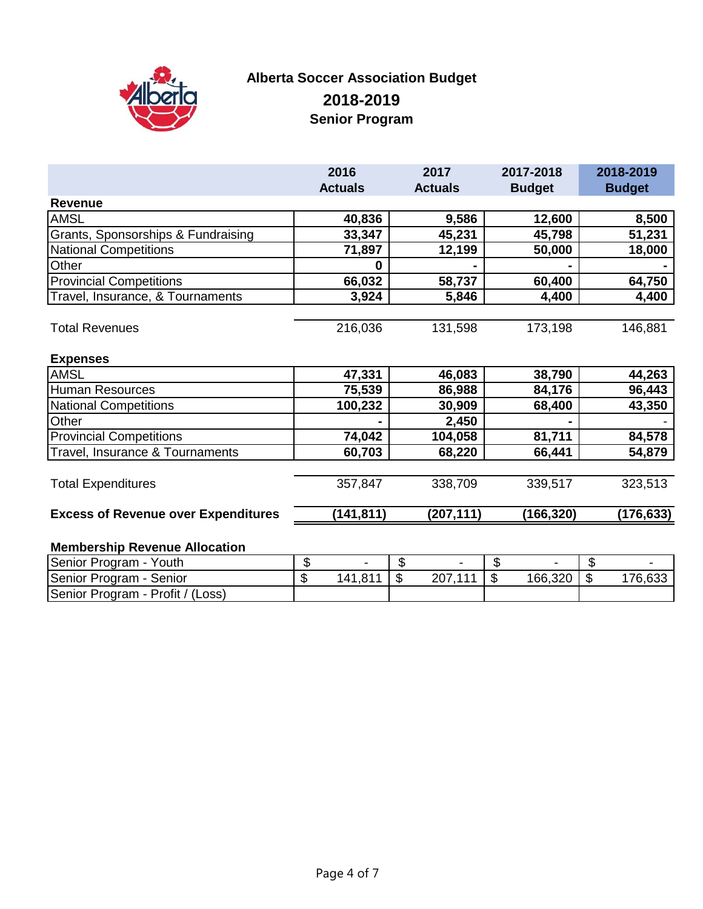

## **Alberta Soccer Association Budget 2018-2019 Senior Program**

|                                            | 2016           | 2017           | 2017-2018     | 2018-2019     |
|--------------------------------------------|----------------|----------------|---------------|---------------|
|                                            | <b>Actuals</b> | <b>Actuals</b> | <b>Budget</b> | <b>Budget</b> |
| <b>Revenue</b>                             |                |                |               |               |
| <b>AMSL</b>                                | 40,836         | 9,586          | 12,600        | 8,500         |
| Grants, Sponsorships & Fundraising         | 33,347         | 45,231         | 45,798        | 51,231        |
| <b>National Competitions</b>               | 71,897         | 12,199         | 50,000        | 18,000        |
| Other                                      | $\Omega$       |                |               |               |
| <b>Provincial Competitions</b>             | 66,032         | 58,737         | 60,400        | 64,750        |
| Travel, Insurance, & Tournaments           | 3,924          | 5,846          | 4,400         | 4,400         |
|                                            |                |                |               |               |
| <b>Total Revenues</b>                      | 216,036        | 131,598        | 173,198       | 146,881       |
|                                            |                |                |               |               |
| <b>Expenses</b>                            |                |                |               |               |
| <b>AMSL</b>                                | 47,331         | 46,083         | 38,790        | 44,263        |
| <b>Human Resources</b>                     | 75,539         | 86,988         | 84,176        | 96,443        |
| <b>National Competitions</b>               | 100,232        | 30,909         | 68,400        | 43,350        |
| Other                                      |                | 2,450          |               |               |
| <b>Provincial Competitions</b>             | 74,042         | 104,058        | 81,711        | 84,578        |
| Travel, Insurance & Tournaments            | 60,703         | 68,220         | 66,441        | 54,879        |
|                                            |                |                |               |               |
| <b>Total Expenditures</b>                  | 357,847        | 338,709        | 339,517       | 323,513       |
|                                            |                |                |               |               |
| <b>Excess of Revenue over Expenditures</b> | (141, 811)     | (207, 111)     | (166, 320)    | (176, 633)    |
|                                            |                |                |               |               |
| <b>Membership Revenue Allocation</b>       |                |                |               |               |

| Senior Program -<br>Youth        |         |                          |                  |                      |         |         |         |
|----------------------------------|---------|--------------------------|------------------|----------------------|---------|---------|---------|
| Senior Program - Senior          | æ<br>мD | 1.81 <sup>4</sup><br>141 | $\sqrt{2}$<br>۰D | ר מ<br>$\lambda$ 444 | 166,320 | æ<br>۰D | 176,633 |
| Senior Program - Profit / (Loss) |         |                          |                  |                      |         |         |         |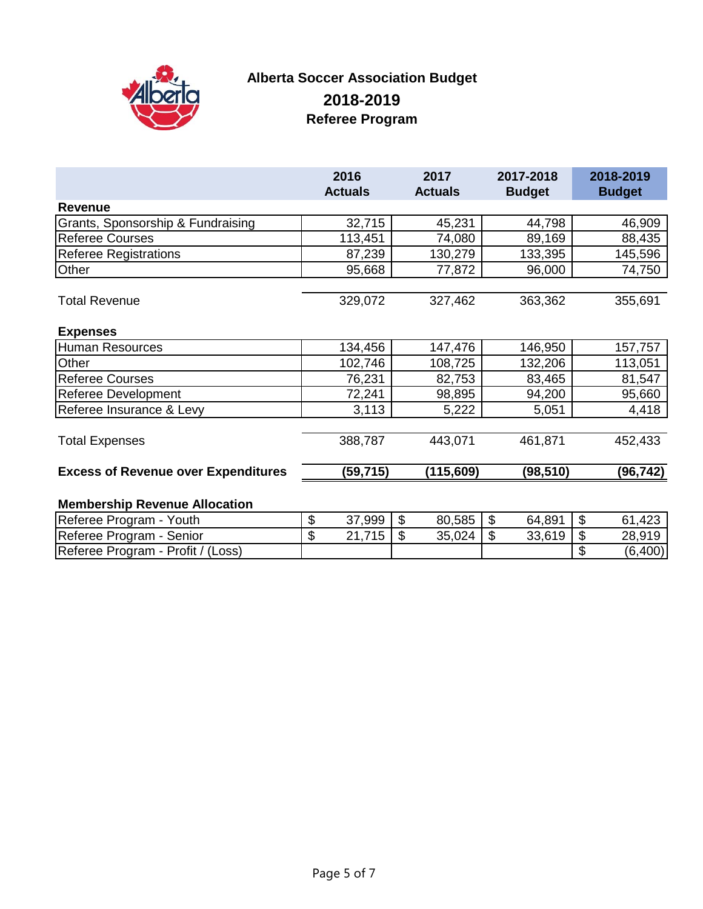

#### **Alberta Soccer Association Budget 2018-2019 Referee Program**

|                                            | 2016<br><b>Actuals</b> | 2017<br><b>Actuals</b>              | 2017-2018<br><b>Budget</b>          | 2018-2019<br><b>Budget</b>           |
|--------------------------------------------|------------------------|-------------------------------------|-------------------------------------|--------------------------------------|
| <b>Revenue</b>                             |                        |                                     |                                     |                                      |
| Grants, Sponsorship & Fundraising          | 32,715                 | 45,231                              | 44,798                              | 46,909                               |
| <b>Referee Courses</b>                     | 113,451                | 74,080                              | 89,169                              | 88,435                               |
| <b>Referee Registrations</b>               | 87,239                 | 130,279                             | 133,395                             | 145,596                              |
| Other                                      | 95,668                 | 77,872                              | 96,000                              | 74,750                               |
|                                            |                        |                                     |                                     |                                      |
| <b>Total Revenue</b>                       | 329,072                | 327,462                             | 363,362                             | 355,691                              |
|                                            |                        |                                     |                                     |                                      |
| <b>Expenses</b>                            |                        |                                     |                                     |                                      |
| <b>Human Resources</b>                     | 134,456                | 147,476                             | 146,950                             | 157,757                              |
| Other                                      | 102,746                | 108,725                             | 132,206                             | 113,051                              |
| <b>Referee Courses</b>                     | 76,231                 | 82,753                              | 83,465                              | 81,547                               |
| Referee Development                        | 72,241                 | 98,895                              | 94,200                              | 95,660                               |
| Referee Insurance & Levy                   | 3,113                  | 5,222                               | 5,051                               | 4,418                                |
|                                            |                        |                                     |                                     |                                      |
| <b>Total Expenses</b>                      | 388,787                | 443,071                             | 461,871                             | 452,433                              |
|                                            |                        |                                     |                                     |                                      |
| <b>Excess of Revenue over Expenditures</b> | (59, 715)              | (115, 609)                          | (98, 510)                           | (96,742)                             |
|                                            |                        |                                     |                                     |                                      |
| <b>Membership Revenue Allocation</b>       |                        |                                     |                                     |                                      |
| Referee Program - Youth                    | \$<br>37,999           | $\$\$<br>80,585                     | $\boldsymbol{\mathsf{S}}$<br>64,891 | $\boldsymbol{\mathsf{S}}$<br>61,423  |
| Referee Program - Senior                   | \$<br>21,715           | $\boldsymbol{\mathsf{S}}$<br>35,024 | \$<br>33,619                        | \$<br>28,919                         |
| Referee Program - Profit / (Loss)          |                        |                                     |                                     | $\boldsymbol{\mathsf{S}}$<br>(6,400) |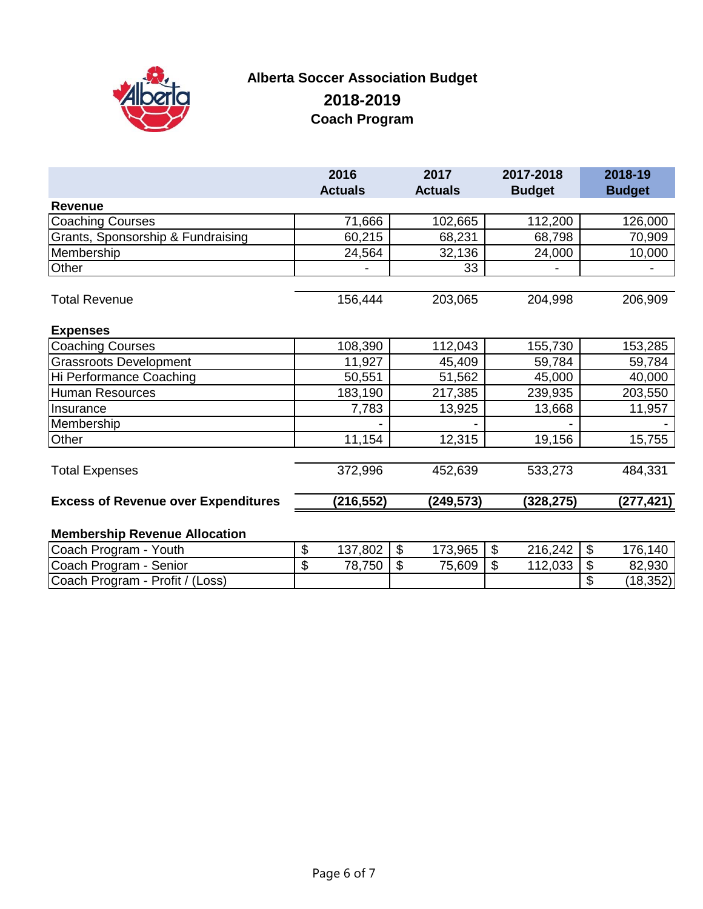

## **Alberta Soccer Association Budget 2018-2019 Coach Program**

|                                            | 2016<br><b>Actuals</b>                      | 2017<br><b>Actuals</b>                | 2017-2018<br><b>Budget</b> | 2018-19<br><b>Budget</b> |
|--------------------------------------------|---------------------------------------------|---------------------------------------|----------------------------|--------------------------|
| <b>Revenue</b>                             |                                             |                                       |                            |                          |
| <b>Coaching Courses</b>                    | 71,666                                      | 102,665                               | 112,200                    | 126,000                  |
| Grants, Sponsorship & Fundraising          | 60,215                                      | 68,231                                | 68,798                     | 70,909                   |
| Membership                                 | 24,564                                      | 32,136                                | 24,000                     | 10,000                   |
| Other                                      |                                             | 33                                    |                            |                          |
| <b>Total Revenue</b>                       | 156,444                                     | 203,065                               | 204,998                    | 206,909                  |
| <b>Expenses</b>                            |                                             |                                       |                            |                          |
| <b>Coaching Courses</b>                    | 108,390                                     | 112,043                               | 155,730                    | 153,285                  |
| <b>Grassroots Development</b>              | 11,927                                      | 45,409                                | 59,784                     | 59,784                   |
| Hi Performance Coaching                    | 50,551                                      | 51,562                                | 45,000                     | 40,000                   |
| <b>Human Resources</b>                     | 183,190                                     | 217,385                               | 239,935                    | 203,550                  |
| Insurance                                  | 7,783                                       | 13,925                                | 13,668                     | 11,957                   |
| Membership                                 |                                             |                                       |                            |                          |
| Other                                      | 11,154                                      | 12,315                                | 19,156                     | 15,755                   |
| <b>Total Expenses</b>                      | 372,996                                     | 452,639                               | 533,273                    | 484,331                  |
| <b>Excess of Revenue over Expenditures</b> | (216, 552)                                  | (249, 573)                            | (328, 275)                 | (277,421)                |
| <b>Membership Revenue Allocation</b>       |                                             |                                       |                            |                          |
| Coach Program - Youth                      | $\mathfrak{L}$<br>$\mathfrak{L}$<br>137.802 | $173.965$ $\overline{\phantom{1}}$ \$ | 216.242                    | - \$<br>176.140          |

| Coach Program -<br>Youth           | ۰D | .802<br>107<br>ו טי | ۰D | 3.965<br>172 | 216,242 |    | 176,140   |
|------------------------------------|----|---------------------|----|--------------|---------|----|-----------|
| Coach Program - Senior             | ۰D | 78,750              | ъD | 75,609       | 112,033 |    | 82,930    |
| Coach Program -<br>Profit / (Loss) |    |                     |    |              |         | ۰D | (18, 352) |